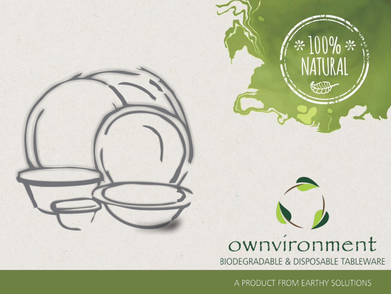

\* 100% \*<br>NATURAL

**ECORY** 

A PRODUCT FROM EARTHY SOLUTIONS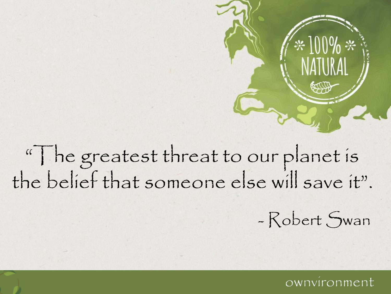"The greatest threat to our planet is the belief that someone else will save it".

- Robert Swan

#### ownvíronm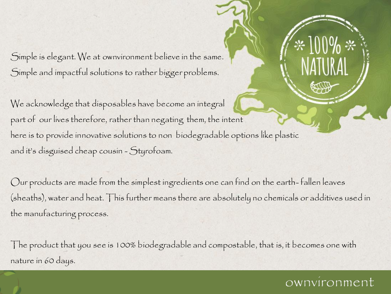Simple is elegant. We at ownvironment believe in the same. Simple and impactful solutions to rather bigger problems.

We acknowledge that disposables have become an integral part of our lives therefore, rather than negating them, the intent here is to provide innovative solutions to non biodegradable options like plastic and it's disguised cheap cousin - Styrofoam.

Our products are made from the simplest ingredients one can find on the earth- fallen leaves (sheaths), water and heat. This further means there are absolutely no chemicals or additives used in the manufacturing process.

The product that you see is 100% biodegradable and compostable, that is, it becomes one with nature in 60 days.

### ownvíronm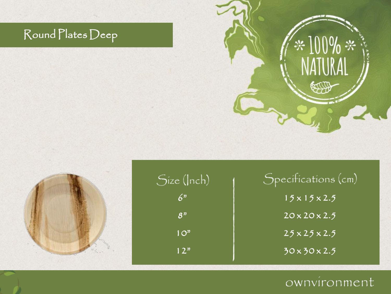### Round Plates Deep







| $\mathcal S$ pecífications (cm)    |  |
|------------------------------------|--|
| $15 \times 15 \times 2.5$          |  |
| $20 \times 20 \times 2.5$          |  |
| $25 \times 25 \times 2.5$          |  |
| $\overline{30\times 30\times 2.5}$ |  |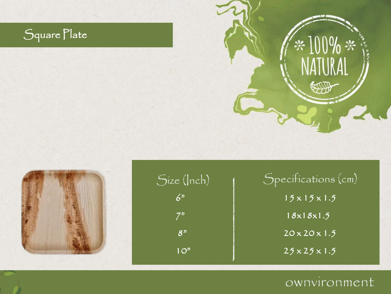### Square Plate







Specifications (cm)  $15 \times 15 \times 1.5$  $18x18x1.5$  $20 \times 20 \times 1.5$  $25 \times 25 \times 1.5$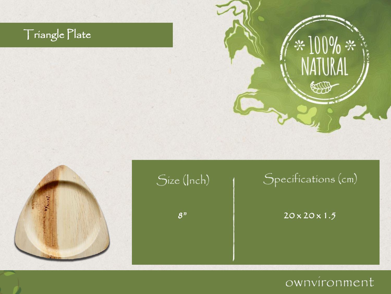### Triangle Plate







### Specifications (cm)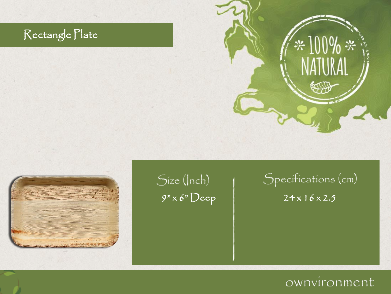### Rectangle Plate



# Size (Inch)

### Specifications (cm)  $9" \times 6" \text{Deep}$  24 x 16 x 2.5

 $*100\% *$ 

COL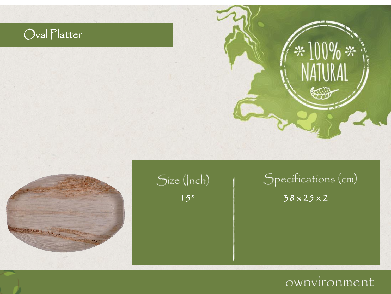### Oval Platter





## Size (Inch)

## Specifications (cm)

### $15"$   $38 \times 25 \times 2$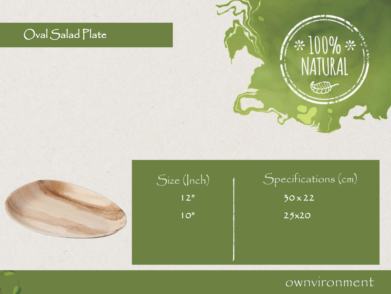### Oval Salad Plate





### Size (Inch)  $12<sup>n</sup>$  $10<sup>2</sup>$

## Specifications (cm) 30 x 22 25x20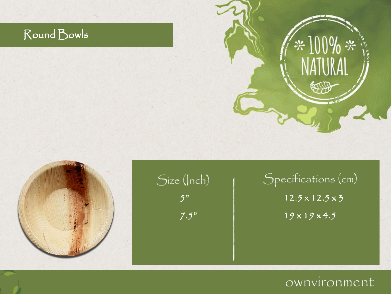### Round Bowls



## Specifications (cm)  $12.5 \times 12.5 \times 5$  $19 \times 19 \times 4.5$

\*100% \*